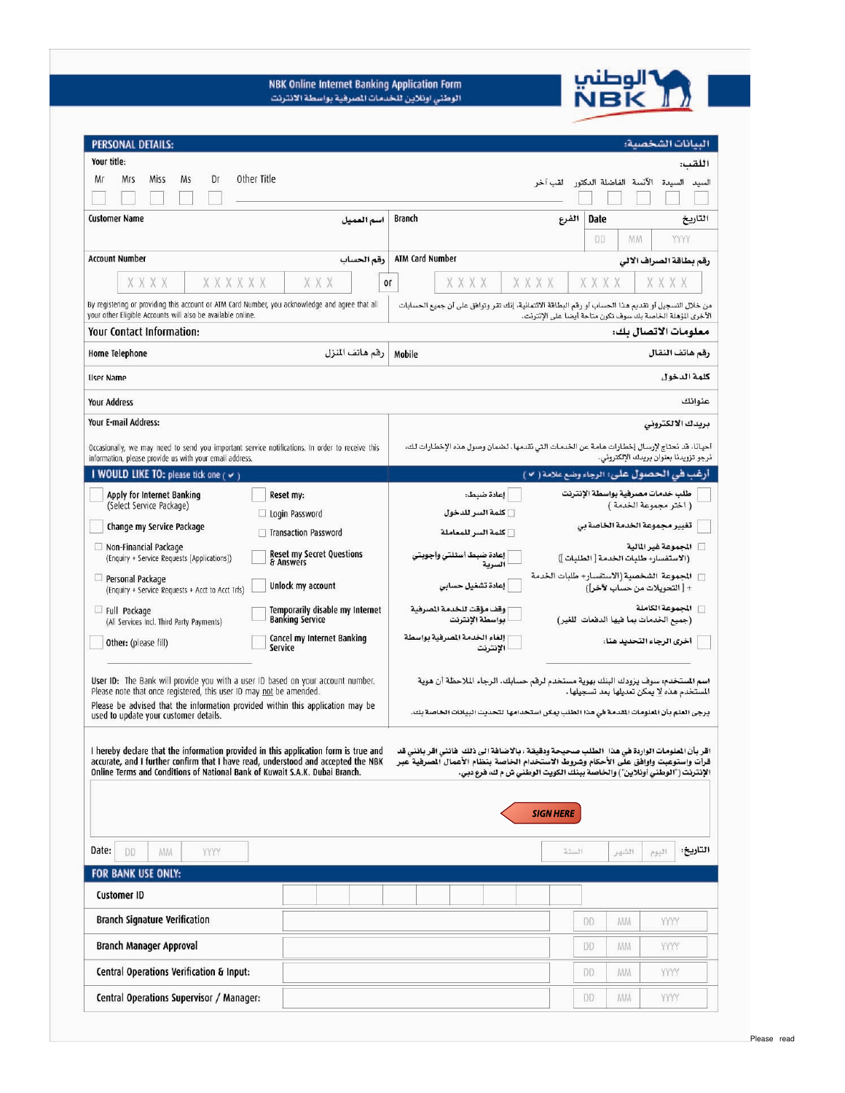

NBK Online Internet Banking Application Form<br>الوطني اونلاين للخدمات الصرفية بواسطة الانترنت

| PERSONAL DETAILS:                                                                                                                                                                                                                                                                                                                                                                                                                                                                                                      |                                                      |                                                | السانات الشخصية:                                                                       |  |  |
|------------------------------------------------------------------------------------------------------------------------------------------------------------------------------------------------------------------------------------------------------------------------------------------------------------------------------------------------------------------------------------------------------------------------------------------------------------------------------------------------------------------------|------------------------------------------------------|------------------------------------------------|----------------------------------------------------------------------------------------|--|--|
| Your title:                                                                                                                                                                                                                                                                                                                                                                                                                                                                                                            |                                                      |                                                | اللقب:                                                                                 |  |  |
| Miss<br>Ms<br>Dr<br>Мr<br>Mrs                                                                                                                                                                                                                                                                                                                                                                                                                                                                                          | Other Title                                          |                                                | السيدة الآنسة الفاضلة الدكتور لقب آخر<br>السيد                                         |  |  |
|                                                                                                                                                                                                                                                                                                                                                                                                                                                                                                                        |                                                      |                                                |                                                                                        |  |  |
| <b>Customer Name</b>                                                                                                                                                                                                                                                                                                                                                                                                                                                                                                   | اسم العميل                                           | Branch                                         | الفرع<br>Date<br>التاريخ                                                               |  |  |
|                                                                                                                                                                                                                                                                                                                                                                                                                                                                                                                        |                                                      |                                                | DD.<br><b>MM</b><br><b>YYYY</b>                                                        |  |  |
| <b>Account Number</b>                                                                                                                                                                                                                                                                                                                                                                                                                                                                                                  |                                                      | <b>ATM Card Number</b>                         |                                                                                        |  |  |
|                                                                                                                                                                                                                                                                                                                                                                                                                                                                                                                        | رقم الحساب                                           |                                                | رقم بطاقة الصراف الالى                                                                 |  |  |
| XXXX<br>XXXXXX                                                                                                                                                                                                                                                                                                                                                                                                                                                                                                         | X X X<br>Оſ                                          | XXXX<br>XXXX                                   | XXXX<br>X X X X                                                                        |  |  |
| By registering or providing this account or ATM Card Number, you acknowledge and agree that all<br>من خلال التسجيل أو تقديم هذا الحساب أو رقم البطاقة الائتمانية، إنك تقر وتوافق على أن جميع الحسابات                                                                                                                                                                                                                                                                                                                  |                                                      |                                                |                                                                                        |  |  |
| your other Eligible Accounts will also be available online.<br>الأخرى المؤهلة الخاصة بك سوف تكون متاحة أيضا على الإنترنت.                                                                                                                                                                                                                                                                                                                                                                                              |                                                      |                                                |                                                                                        |  |  |
| Your Contact Information:                                                                                                                                                                                                                                                                                                                                                                                                                                                                                              |                                                      |                                                | معلومات الاتصال بك:                                                                    |  |  |
| Home Telephone                                                                                                                                                                                                                                                                                                                                                                                                                                                                                                         | رقم هاتف المنزل                                      | Mobile                                         | رقم هاتف النقال                                                                        |  |  |
| كلمة الدخول<br><b>User Name</b>                                                                                                                                                                                                                                                                                                                                                                                                                                                                                        |                                                      |                                                |                                                                                        |  |  |
| عنوانك<br><b>Your Address</b>                                                                                                                                                                                                                                                                                                                                                                                                                                                                                          |                                                      |                                                |                                                                                        |  |  |
| Your E-mail Address:<br>بريدك الالكتروني                                                                                                                                                                                                                                                                                                                                                                                                                                                                               |                                                      |                                                |                                                                                        |  |  |
| أحيانا، قد نحتاج لإرسال إخطارات هامة عن الخدمات التي نقدمها. لضمان وصول هذه الإخطارات لك،<br>Occasionally, we may need to send you important service notifications. In order to receive this<br>نرجو تزويدنا بعنوان بريدك الإلكتروني.<br>information, please provide us with your email address.                                                                                                                                                                                                                       |                                                      |                                                |                                                                                        |  |  |
| I WOULD LIKE TO: please tick one ( v )                                                                                                                                                                                                                                                                                                                                                                                                                                                                                 |                                                      |                                                | أرغب في الحصول على: الرجاء وضع علامة ( ٧ )                                             |  |  |
| Apply for Internet Banking                                                                                                                                                                                                                                                                                                                                                                                                                                                                                             | Reset my:                                            | إعادة ضبط:                                     | طلب خدمات مصرفية بواسطة الإنترنت                                                       |  |  |
| (Select Service Package)                                                                                                                                                                                                                                                                                                                                                                                                                                                                                               | Login Password                                       | <b>كلمة السر للدخول</b>                        | ( اختر مجموعة الخدمة )                                                                 |  |  |
| Change my Service Package                                                                                                                                                                                                                                                                                                                                                                                                                                                                                              | □ Transaction Password                               | كلمة السر للمعاملة                             | تغيير مجموعة الخدمة الخاصة بي                                                          |  |  |
| Non-Financial Package<br>(Enquiry + Service Requests [Applications])                                                                                                                                                                                                                                                                                                                                                                                                                                                   | <b>Reset my Secret Questions</b><br>& Answers        | إعادة ضبط أسئلتى وأجوبتى                       | □ المجموعة غير المالية<br>(الاستفسار؛ طلبات الخدمة [ الطلبات ])                        |  |  |
| Personal Package<br>(Enquiry + Service Requests + Acct to Acct Trfs)                                                                                                                                                                                                                                                                                                                                                                                                                                                   | Unlock my account                                    | إعادة تشغيل حسابى                              | □   الجموعة  الشخصية (الاستفسار+ طلبات الخدمة<br>+ [ التحويلات من حساب لأخر])          |  |  |
| Full Package                                                                                                                                                                                                                                                                                                                                                                                                                                                                                                           | Temporarily disable my Internet                      | وقف مؤقت للخدمة المسرفية                       | سرا المجموعة الكاملة                                                                   |  |  |
| (All Services Incl. Third Party Payments)                                                                                                                                                                                                                                                                                                                                                                                                                                                                              | <b>Banking Service</b><br>Cancel my Internet Banking | بواسطة الإنترنت<br>إلغاء الخدمة الصرفية بواسطة | (جميع الخدمات بما فيها الدفعات للغير)                                                  |  |  |
| Other: (please fill)                                                                                                                                                                                                                                                                                                                                                                                                                                                                                                   | Service                                              | الإنترنت                                       | أخرى الرجاء التحديد هنا:                                                               |  |  |
| User ID: The Bank will provide you with a user ID based on your account number.<br>اسم الستخدم: سوف يزودك البنك بهوية مستخدم لرقم حسابك. الرجاء الملاحظة أن هوية                                                                                                                                                                                                                                                                                                                                                       |                                                      |                                                |                                                                                        |  |  |
| Please note that once registered, this user ID may not be amended.<br>Please be advised that the information provided within this application may be                                                                                                                                                                                                                                                                                                                                                                   |                                                      | المستخدم هذه لا يمكن تعديلها بعد تسجيلها .     |                                                                                        |  |  |
| used to update your customer details.                                                                                                                                                                                                                                                                                                                                                                                                                                                                                  |                                                      |                                                | يرجى العلم بأن الملومات المقدمة فى هذا الطلب يمكن استخدامها لتحديث البيانات الخاصة بك. |  |  |
| I hereby declare that the information provided in this application form is true and<br>اقر بأن الملومات الواردة في هذا   الطلب صحيحة ودقيقة ، بالاضافة الى ذلك  فانني اقر بانني قد<br>accurate, and I further confirm that I have read, understood and accepted the NBK<br>قرأت واستوعبت واوافق على الأحكام وشروط الاستخدام الخاصة بنظام الأعمال المسرفية عبر<br>Online Terms and Conditions of National Bank of Kuwait S.A.K. Dubai Branch.<br>الإنترنت ("الوطني أونلاين") والخاصة ببنك الكويت الوطني ش م ك، فرع دبي. |                                                      |                                                |                                                                                        |  |  |
|                                                                                                                                                                                                                                                                                                                                                                                                                                                                                                                        |                                                      |                                                |                                                                                        |  |  |
|                                                                                                                                                                                                                                                                                                                                                                                                                                                                                                                        |                                                      |                                                | <b>SIGN HERE</b>                                                                       |  |  |
|                                                                                                                                                                                                                                                                                                                                                                                                                                                                                                                        |                                                      |                                                |                                                                                        |  |  |
| Date:<br>DD<br>YYYY<br><b>MM</b>                                                                                                                                                                                                                                                                                                                                                                                                                                                                                       |                                                      |                                                | التاريخ:<br>السنة<br>الشهر<br>اليوم                                                    |  |  |
| FOR BANK USE ONLY:                                                                                                                                                                                                                                                                                                                                                                                                                                                                                                     |                                                      |                                                |                                                                                        |  |  |
| <b>Customer ID</b>                                                                                                                                                                                                                                                                                                                                                                                                                                                                                                     |                                                      |                                                |                                                                                        |  |  |
| <b>Branch Signature Verification</b>                                                                                                                                                                                                                                                                                                                                                                                                                                                                                   |                                                      |                                                | DD.<br><b>MM</b><br>YYYY                                                               |  |  |
| Branch Manager Approval                                                                                                                                                                                                                                                                                                                                                                                                                                                                                                |                                                      |                                                | YYYY<br>DD.<br>MM                                                                      |  |  |
| Central Operations Verification & Input:                                                                                                                                                                                                                                                                                                                                                                                                                                                                               |                                                      |                                                | YYYY<br>DD.<br><b>MM</b>                                                               |  |  |
| Central Operations Supervisor / Manager:                                                                                                                                                                                                                                                                                                                                                                                                                                                                               |                                                      |                                                | YYYY<br>DD:<br><b>MM</b>                                                               |  |  |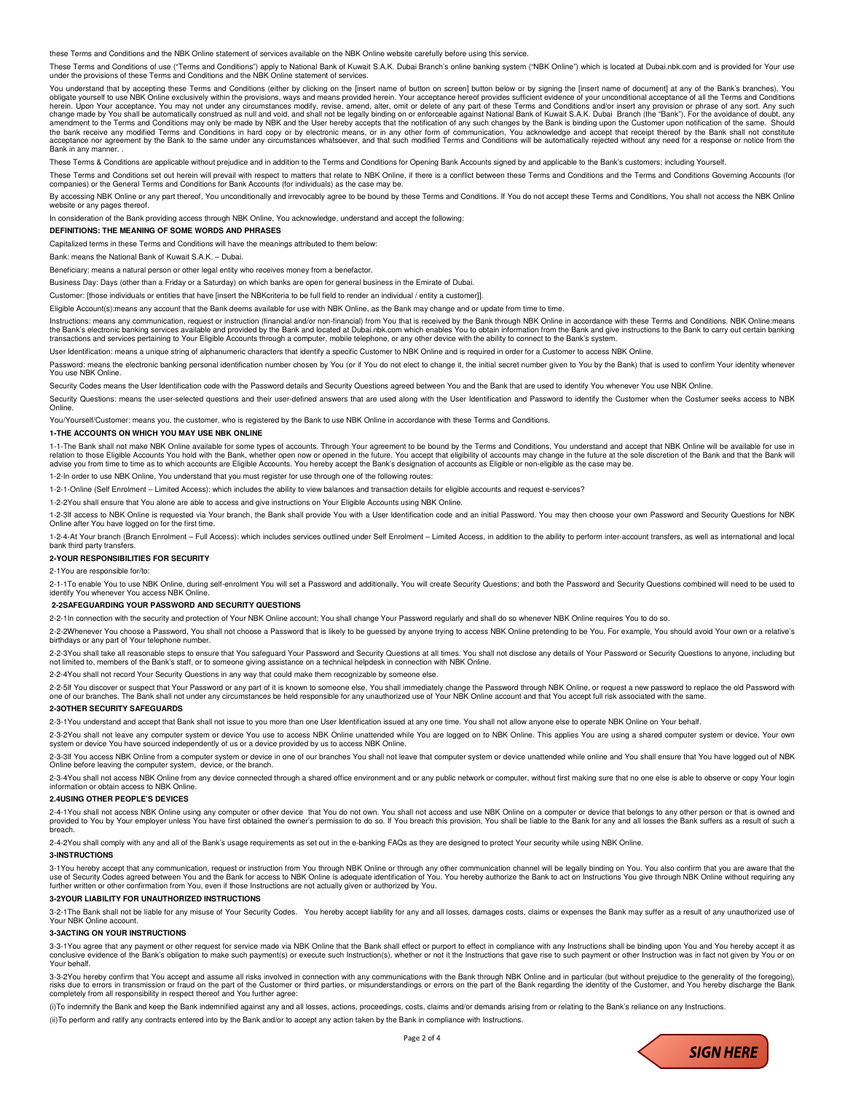these Terms and Conditions and the NBK Online statement of services available on the NBK Online website carefully before using this service.

These Terms and Conditions of use ("Terms and Conditions") apply to National Bank of Kuwait S.A.K. Dubai Branch's online banking system ("NBK Online") which is located at Dubai.nbk.com and is provided for Your use under the provisions of these Terms and Conditions and the NBK Online statement of services.

You understand that by accepting these Terms and Conditions (either by clicking on the linsert name of button on screen] button below or by signing the linsert name of document] at any of the Bank's branches), You obligate yourself to use NBK Online exclusively within the provisions, ways and means provided herein. Your acceptance hereof provides sufficient evidence of your unconditional acceptance of all the Terms and Conditions (C amendment to the Terms and Conditions may only be made by NBK and the User hereby accepts that the notification of any such changes by the Bank is binding upon the Customer upon notification of the same. Should<br>the bank re acceptance nor agreement by the Bank to the same under any circumstances whatsoever, and that such modified Terms and Conditions will be automatically rejected without any need for a response or notice from the<br>Bank in any

These Terms & Conditions are applicable without prejudice and in addition to the Terms and Conditions for Opening Bank Accounts signed by and applicable to the Bank's customers; including Yourself.

These Terms and Conditions set out herein will prevail with respect to matters that relate to NBK Online, if there is a conflict between these Terms and Conditions and the Terms and Conditions Governing Accounts (for companies) or the General Terms and Conditions for Bank Accounts (for individuals) as the case may be.

By accessing NBK Online or any part thereof, You unconditionally and irrevocably agree to be bound by these Terms and Conditions. If You do not accept these Terms and Conditions, You shall not access the NBK Online website or any pages thereof

In consideration of the Bank providing access through NBK Online, You acknowledge, understand and accept the following:

**DEFINITIONS: THE MEANING OF SOME WORDS AND PHRASES** 

Capitalized terms in these Terms and Conditions will have the meanings attributed to them below:

Bank: means the National Bank of Kuwait S.A.K. – Dubai.

Beneficiary: means a natural person or other legal entity who receives money from a benefactor.

Business Day: Days (other than a Friday or a Saturday) on which banks are open for general business in the Emirate of Dubai.

Customer: [those individuals or entities that have [insert the NBKcriteria to be full field to render an individual / entity a customer]].

Eligible Account(s):means any account that the Bank deems available for use with NBK Online, as the Bank may change and or update from time to time.

Instructions: means any communication, request or instruction (financial and/or non-financial) from You that is received by the Bank through NBK Online in accordance with these Terms and Conditions. NBK Online:means the Bank's electronic banking services available and provided by the Bank and located at Dubai.nbk.com which enables You to obtain information from the Bank and give instructions to the Bank to carry out certain banking<br>tr

User Identification: means a unique string of alphanumeric characters that identify a specific Customer to NBK Online and is required in order for a Customer to access NBK Online.

Password: means the electronic banking personal identification number chosen by You (or if You do not elect to change it, the initial secret number given to You by the Bank) that is used to confirm Your identity whenever You use NBK Online.

Security Codes means the User Identification code with the Password details and Security Questions agreed between You and the Bank that are used to identify You whenever You use NBK Online.

#### Security Questions: means the user-selected questions and their user-defined answers that are used along with the User Identification and Password to identify the Customer when the Costumer seeks access to NBK Online.

You/Yourself/Customer: means you, the customer, who is registered by the Bank to use NBK Online in accordance with these Terms and Conditions.

#### **1-THE ACCOUNTS ON WHICH YOU MAY USE NBK ONLINE**

1-1-The Bank shall not make NBK Online available for some types of accounts. Through Your agreement to be bound by the Terms and Conditions, You understand and accept that NBK Online will be available for use in<br>relation t advise you from time to time as to which accounts are Eligible Accounts. You hereby accept the Bank's designation of accounts as Eligible or non-eligible as the case may be.

1-2-In order to use NBK Online, You understand that you must register for use through one of the following routes:

1-2-1-Online (Self Enrolment – Limited Access): which includes the ability to view balances and transaction details for eligible accounts and request e-services?

1-2-2You shall ensure that You alone are able to access and give instructions on Your Eligible Accounts using NBK Online.

1-2-3If access to NBK Online is requested via Your branch, the Bank shall provide You with a User Identification code and an initial Password. You may then choose your own Password and Security Questions for NBK Online after You have logged on for the first time.

1-2-4-At Your branch (Branch Enrolment – Full Access): which includes services outlined under Self Enrolment – Limited Access, in addition to the ability to perform inter-account transfers, as well as international and local bank third party transfers.

### **2-YOUR RESPONSIBILITIES FOR SECURITY**

2-1You are responsible for/to:

2-1-1To enable You to use NBK Online, during self-enrolment You will set a Password and additionally, You will create Security Questions; and both the Password and Security Questions combined will need to be used to identify You whenever You access NBK Online

# **2-2SAFEGUARDING YOUR PASSWORD AND SECURITY QUESTIONS**

2-2-1In connection with the security and protection of Your NBK Online account; You shall change Your Password regularly and shall do so whenever NBK Online requires You to do so.

2-2-2Whenever You choose a Password, You shall not choose a Password that is likely to be guessed by anyone trying to access NBK Online pretending to be You. For example, You should avoid Your own or a relative's birthdays or any part of Your telephone number.

2-2-3You shall take all reasonable steps to ensure that You safeguard Your Password and Security Questions at all times. You shall not disclose any details of Your Password or Security Questions to anyone, including but not limited to, members of the Bank's staff, or to someone giving assistance on a technical helpdesk in connection with NBK Online.

2-2-4You shall not record Your Security Questions in any way that could make them recognizable by someone else.

2-2-5If You discover or suspect that Your Password or any part of it is known to someone else, You shall immediately change the Password through NBK Online, or request a new password to replace the old Password with<br>one of

#### **2-3OTHER SECURITY SAFEGUARDS**

2-3-1You understand and accept that Bank shall not issue to you more than one User Identification issued at any one time. You shall not allow anyone else to operate NBK Online on Your behalf.

2-3-2You shall not leave any computer system or device You use to access NBK Online unattended while You are logged on to NBK Online. This applies You are using a shared computer system or device, Your own<br>system or device

2-3-3lf You access NBK Online from a computer system or device in one of our branches You shall not leave that computer system or device unattended while online and You shall ensure that You have logged out of NBK<br>Online b

2-3-4You shall not access NBK Online from any device connected through a shared office environment and or any public network or computer, without first making sure that no one else is able to observe or copy Your login information or obtain access to NBK Online.

### **2.4USING OTHER PEOPLE'S DEVICES**

2-4-1You shall not access NBK Online using any computer or other device that You do not own. You shall not access and use NBK Online on a computer or device that belongs to any other person or that is owned and<br>provided to breach.

2-4-2You shall comply with any and all of the Bank's usage requirements as set out in the e-banking FAQs as they are designed to protect Your security while using NBK Online.

## **3-INSTRUCTIONS**

3-1You hereby accept that any communication, request or instruction from You through NBK Online or through any other communication channel will be legally binding on You. You also confirm that you are aware that the<br>use of further written or other confirmation from You, even if those Instructions are not actually given or authorized by You.

#### **3-2YOUR LIABILITY FOR UNAUTHORIZED INSTRUCTIONS**

3-2-1The Bank shall not be liable for any misuse of Your Security Codes. You hereby accept liability for any and all losses, damages costs, claims or expenses the Bank may suffer as a result of any unauthorized use of Your NBK Online account.

## **3-3ACTING ON YOUR INSTRUCTIONS**

3-3-1You agree that any payment or other request for service made via NBK Online that the Bank shall effect or purport to effect in compliance with any Instructions shall be binding upon You and You hereby accept it as<br>con Your behalf.

3-3-2You hereby confirm that You accept and assume all risks involved in connection with any communications with the Bank through NBK Online and in particular (but without prejudice to the generality of the foregoing), risks due to errors in transmission or fraud on the part of the Customer or third parties, or misunderstandings or errors on the part of the Bank regarding the identity of the Customer, and You hereby discharge the Bank<br>co

(i)To indemnify the Bank and keep the Bank indemnified against any and all losses, actions, proceedings, costs, claims and/or demands arising from or relating to the Bank's reliance on any Instructions.

(ii)To perform and ratify any contracts entered into by the Bank and/or to accept any action taken by the Bank in compliance with Instructions.

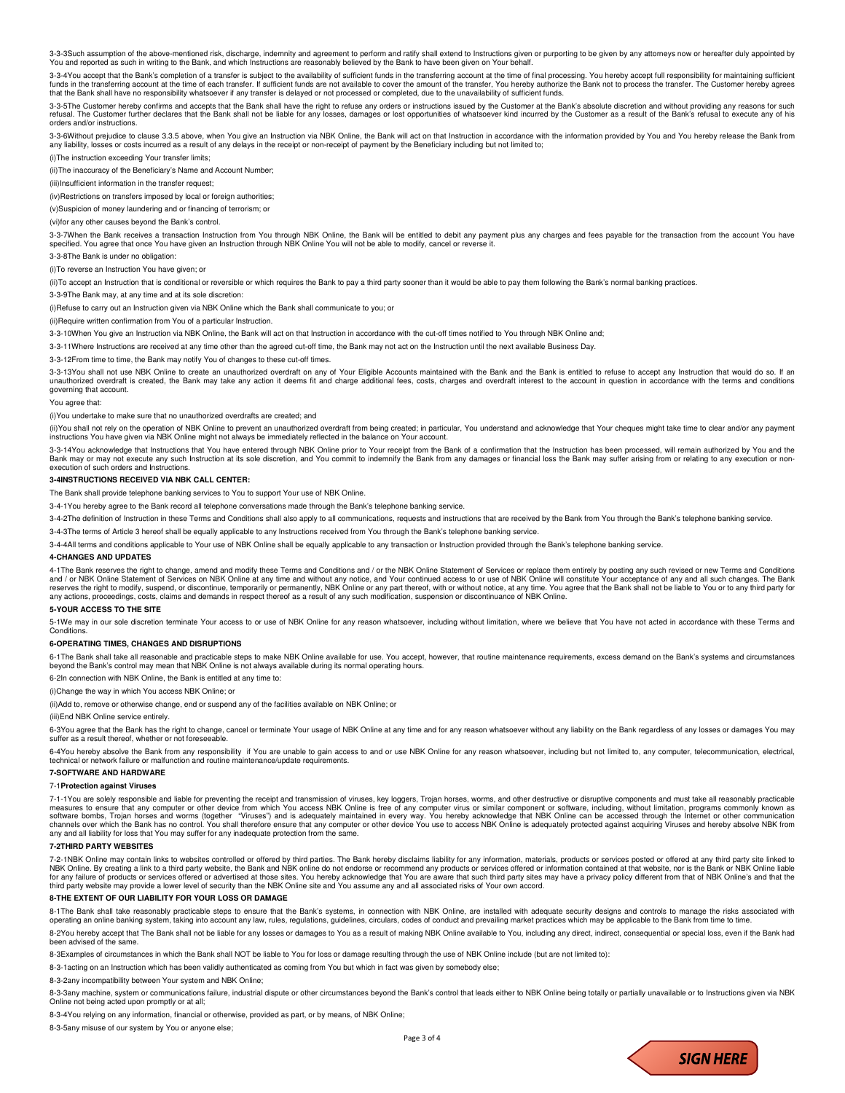3-3-3Such assumption of the above-mentioned risk, discharge, indemnity and agreement to perform and ratify shall extend to Instructions given or purporting to be given by any attorneys now or hereafter duly appointed by<br>Yo

3-3-4You accept that the Bank's completion of a transfer is subject to the availability of sufficient funds in the transferring account at the time of final processing. You hereby accept full responsibility for maintaining that the Bank shall have no responsibility whatsoever if any transfer is delayed or not processed or completed, due to the unavailability of sufficient funds.

3-3-5The Customer hereby confirms and accepts that the Bank shall have the right to refuse any orders or instructions issued by the Customer at the Bank's absolute discretion and without providing any reasons for such refusal. The Customer further declares that the Bank shall not be liable for any losses, damages or lost opportunities of whatsoever kind incurred by the Customer as a result of the Bank's refusal to execute any of his orders and/or instructions.

3-3-6Without prejudice to clause 3.3.5 above, when You give an Instruction via NBK Online, the Bank will act on that Instruction in accordance with the information provided by You and You hereby release the Bank from any liability, losses or costs incurred as a result of any delays in the receipt or non-receipt of payment by the Beneficiary including but not limited to;

(i)The instruction exceeding Your transfer limits;

(ii)The inaccuracy of the Beneficiary's Name and Account Number;

(iii)Insufficient information in the transfer request:

(iv)Restrictions on transfers imposed by local or foreign authorities;

(v)Suspicion of money laundering and or financing of terrorism; or

(vi)for any other causes beyond the Bank's control.

3-3-7When the Bank receives a transaction Instruction from You through NBK Online, the Bank will be entitled to debit any payment plus any charges and fees payable for the transaction from the account You have<br>specified. Y

3-3-8The Bank is under no obligation:

(i)To reverse an Instruction You have given; or

(ii)To accept an Instruction that is conditional or reversible or which requires the Bank to pay a third party sooner than it would be able to pay them following the Bank's normal banking practices.

3-3-9The Bank may, at any time and at its sole discretion:

(i)Refuse to carry out an Instruction given via NBK Online which the Bank shall communicate to you; or

(ii)Require written confirmation from You of a particular Instruction.

3-3-10When You give an Instruction via NBK Online, the Bank will act on that Instruction in accordance with the cut-off times notified to You through NBK Online and;

3-3-11Where Instructions are received at any time other than the agreed cut-off time, the Bank may not act on the Instruction until the next available Business Day.

3-3-12From time to time, the Bank may notify You of changes to these cut-off times.

3-3-13You shall not use NBK Online to create an unauthorized overdraft on any of Your Eligible Accounts maintained with the Bank and the Bank is entitled to refuse to accept any Instruction that would do so. If an unauthorized overdraft is created, the Bank may take any action it deems fit and charge additional fees, costs, charges and overdraft interest to the account in question in accordance with the terms and conditions governing that account.

You agree that:

(i)You undertake to make sure that no unauthorized overdrafts are created; and

(ii)You shall not rely on the operation of NBK Online to prevent an unauthorized overdraft from being created; in particular, You understand and acknowledge that Your cheques might take time to clear and/or any payment<br>ins

3-3-14You acknowledge that Instructions that You have entered through NBK Online prior to Your receipt from the Bank of a confirmation that the Instruction has been processed, will remain authorized by You and the Bank may or may not execute any such Instruction at its sole discretion, and You commit to indemnify the Bank from any damages or financial loss the Bank may suffer arising from or relating to any execution or nonexecution of such orders and Instructions.

# **3-4INSTRUCTIONS RECEIVED VIA NBK CALL CENTER:**

The Bank shall provide telephone banking services to You to support Your use of NBK Online.

3-4-1You hereby agree to the Bank record all telephone conversations made through the Bank's telephone banking service.

3-4-2The definition of Instruction in these Terms and Conditions shall also apply to all communications, requests and instructions that are received by the Bank from You through the Bank's telephone banking service.

3-4-3The terms of Article 3 hereof shall be equally applicable to any Instructions received from You through the Bank's telephone banking service.

3-4-4All terms and conditions applicable to Your use of NBK Online shall be equally applicable to any transaction or Instruction provided through the Bank's telephone banking service.

#### **4-CHANGES AND UPDATES**

4-1The Bank reserves the right to change, amend and modify these Terms and Conditions and / or the NBK Online Statement of Services or replace them entirely by posting any such revised or new Terms and Conditions<br>and / or

#### **5-YOUR ACCESS TO THE SITE**

5-1We may in our sole discretion terminate Your access to or use of NBK Online for any reason whatsoever, including without limitation, where we believe that You have not acted in accordance with these Terms and Condition

### **6-OPERATING TIMES, CHANGES AND DISRUPTIONS**

6-1The Bank shall take all reasonable and practicable steps to make NBK Online available for use. You accept, however, that routine maintenance requirements, excess demand on the Bank's systems and circumstances beyond the Bank's control may mean that NBK Online is not always available during its normal operating hours.

6-2In connection with NBK Online, the Bank is entitled at any time to:

(i)Change the way in which You access NBK Online; or

(ii)Add to, remove or otherwise change, end or suspend any of the facilities available on NBK Online; or

(iii)End NBK Online service entirely.

6-3You agree that the Bank has the right to change, cancel or terminate Your usage of NBK Online at any time and for any reason whatsoever without any liability on the Bank regardless of any losses or damages You may suffer as a result thereof, whether or not foreseeable

6-4You hereby absolve the Bank from any responsibility if You are unable to gain access to and or use NBK Online for any reason whatsoever, including but not limited to, any computer, telecommunication, electrical, technical or network failure or malfunction and routine maintenance/update requirements.

# **7-SOFTWARE AND HARDWARE**

#### 7-1**Protection against Viruses**

7-1-1You are solely responsible and liable for preventing the receipt and transmission of viruses, key loggers, Trojan horses, worms, and other destructive or disruptive components and must take all reasonably practicable<br> measures to ensure that any computer or other device from which You access NBK Online is free of any computer virus or similar component or software, including, without limitation, programs commonly known as<br>software bombs showed borrus, riden for which the Bank has no control. You shall therefore ensure that any computer or other device You use to access NBK Online is adequately protected against acquiring Viruses and hereby absolve NBK fro any and all liability for loss that You may suffer for any inadequate protection from the same.

## **7-2THIRD PARTY WEBSITES**

7-2-1NBK Online may contain links to websites controlled or offered by third parties. The Bank hereby disclaims liability for any information, materials, products or services posted or offered at any third party site linke for any failure of products or services offered or advertised at those sites. You hereby acknowledge that You are aware that such third party sites may have a privacy policy different from that of NBK Online's and that the

#### **8-THE EXTENT OF OUR LIABILITY FOR YOUR LOSS OR DAMAGE**

8-1The Bank shall take reasonably practicable steps to ensure that the Bank's systems, in connection with NBK Online, are installed with adequate security designs and controls to manage the risks associated with operating an online banking system, taking into account any law, rules, regulations, guidelines, circulars, codes of conduct and prevailing market practices which may be applicable to the Bank from time to time. 8-2You hereby accept that The Bank shall not be liable for any losses or damages to You as a result of making NBK Online available to You, including any direct, indirect, consequential or special loss, even if the Bank had been advised of the same.

8-3Examples of circumstances in which the Bank shall NOT be liable to You for loss or damage resulting through the use of NBK Online include (but are not limited to):

8-3-1acting on an Instruction which has been validly authenticated as coming from You but which in fact was given by somebody else;

8-3-2any incompatibility between Your system and NBK Online;

8-3-3any machine, system or communications failure, industrial dispute or other circumstances beyond the Bank's control that leads either to NBK Online being totally or partially unavailable or to Instructions given yia NB Online not being acted upon promptly or at all;

8-3-4You relying on any information, financial or otherwise, provided as part, or by means, of NBK Online;

8-3-5any misuse of our system by You or anyone else;